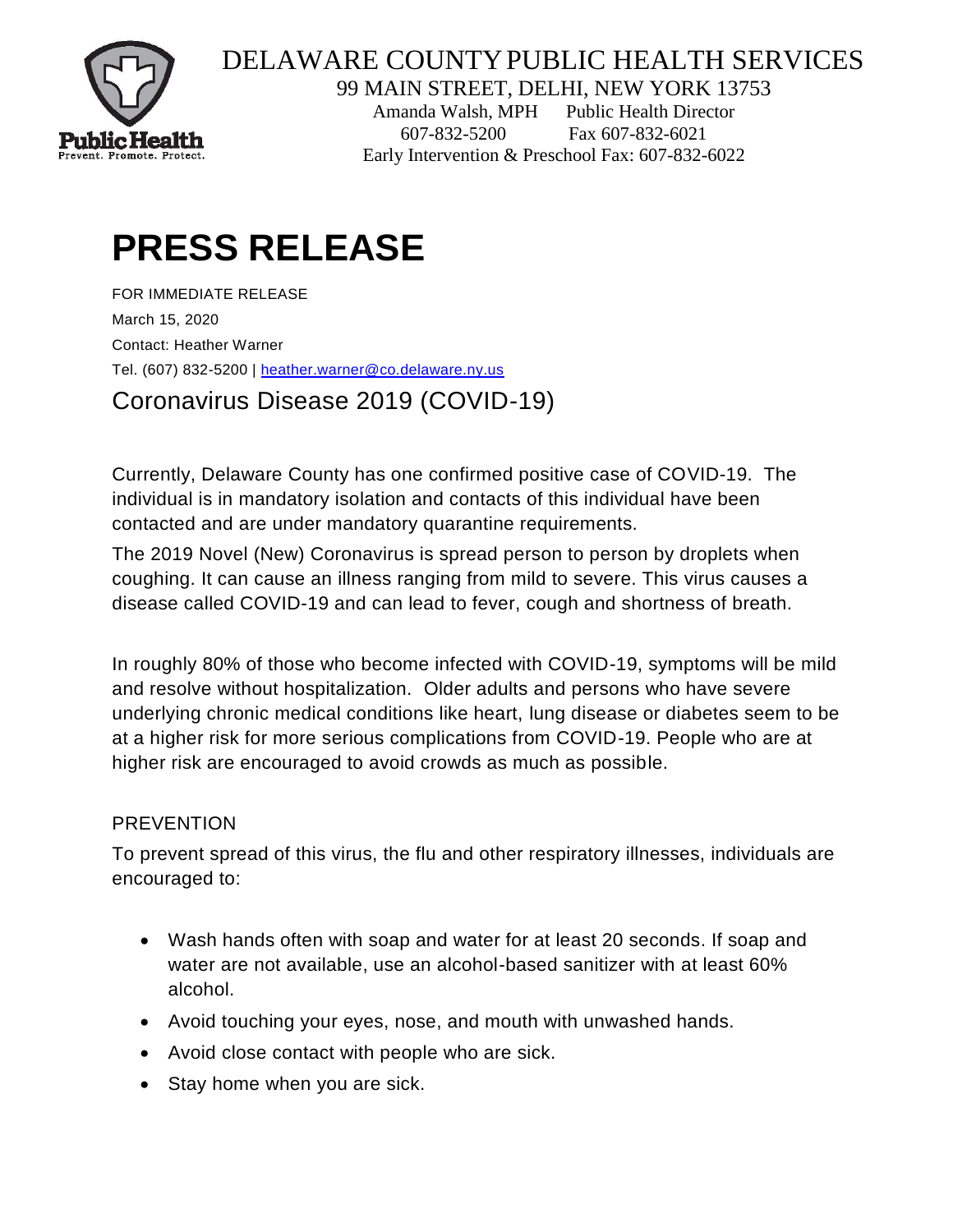

## DELAWARE COUNTYPUBLIC HEALTH SERVICES

99 MAIN STREET, DELHI, NEW YORK 13753

Amanda Walsh, MPH Public Health Director 607-832-5200 Fax 607-832-6021 Early Intervention & Preschool Fax: 607-832-6022

## **PRESS RELEASE**

FOR IMMEDIATE RELEASE March 15, 2020 Contact: Heather Warner Tel. (607) 832-5200 | [heather.warner@co.delaware.ny.us](mailto:heather.warner@co.delaware.ny.us)

Coronavirus Disease 2019 (COVID-19)

Currently, Delaware County has one confirmed positive case of COVID-19. The individual is in mandatory isolation and contacts of this individual have been contacted and are under mandatory quarantine requirements.

The 2019 Novel (New) Coronavirus is spread person to person by droplets when coughing. It can cause an illness ranging from mild to severe. This virus causes a disease called COVID-19 and can lead to fever, cough and shortness of breath.

In roughly 80% of those who become infected with COVID-19, symptoms will be mild and resolve without hospitalization. Older adults and persons who have severe underlying chronic medical conditions like heart, lung disease or diabetes seem to be at a higher risk for more serious complications from COVID-19. People who are at higher risk are encouraged to avoid crowds as much as possible.

## **PREVENTION**

To prevent spread of this virus, the flu and other respiratory illnesses, individuals are encouraged to:

- Wash hands often with soap and water for at least 20 seconds. If soap and water are not available, use an alcohol-based sanitizer with at least 60% alcohol.
- Avoid touching your eyes, nose, and mouth with unwashed hands.
- Avoid close contact with people who are sick.
- Stay home when you are sick.